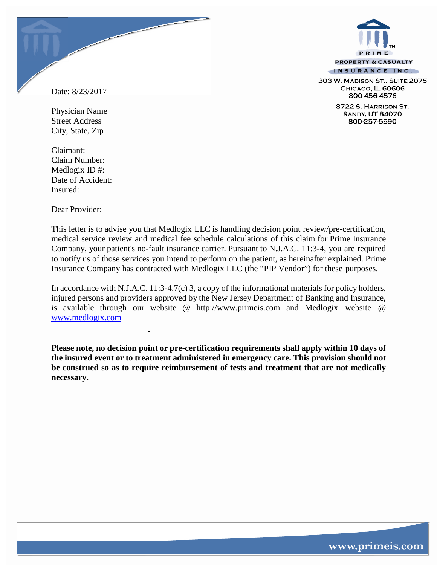

303 W. MADISON ST., SUITE 2075 CHICAGO, IL 60606 800-456-4576

> 8722 S. HARRISON ST. **SANDY, UT 84070** 800-257-5590

Date: 8/23/2017

Physician Name Street Address City, State, Zip

Claimant: Claim Number: Medlogix ID #: Date of Accident: Insured:

Dear Provider:

This letter is to advise you that Medlogix LLC is handling decision point review/pre-certification, medical service review and medical fee schedule calculations of this claim for Prime Insurance Company, your patient's no-fault insurance carrier. Pursuant to N.J.A.C. 11:3-4, you are required to notify us of those services you intend to perform on the patient, as hereinafter explained. Prime Insurance Company has contracted with Medlogix LLC (the "PIP Vendor") for these purposes.

In accordance with N.J.A.C. 11:3-4.7(c) 3, a copy of the informational materials for policy holders, injured persons and providers approved by the New Jersey Department of Banking and Insurance, is available through our website @ [http://www.primeis.com](http://www.primeis.com/) and Medlogix website @ [www.medlogix.com](http://www.medlogix.com/)

**Please note, no decision point or pre-certification requirements shall apply within 10 days of the insured event or to treatment administered in emergency care. This provision should not be construed so as to require reimbursement of tests and treatment that are not medically necessary.**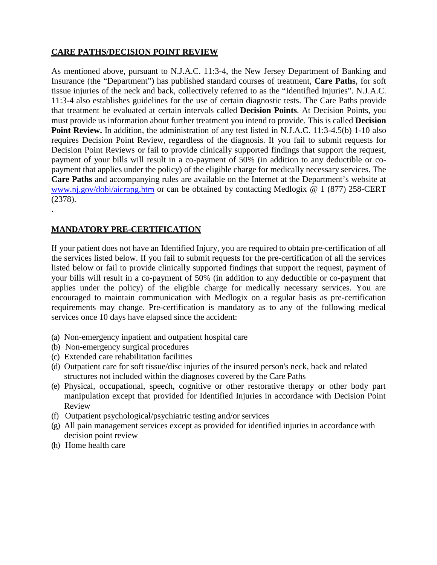### **CARE PATHS/DECISION POINT REVIEW**

As mentioned above, pursuant to N.J.A.C. 11:3-4, the New Jersey Department of Banking and Insurance (the "Department") has published standard courses of treatment, **Care Paths**, for soft tissue injuries of the neck and back, collectively referred to as the "Identified Injuries". N.J.A.C. 11:3-4 also establishes guidelines for the use of certain diagnostic tests. The Care Paths provide that treatment be evaluated at certain intervals called **Decision Points**. At Decision Points, you must provide us information about further treatment you intend to provide. This is called **Decision Point Review.** In addition, the administration of any test listed in N.J.A.C. 11:3-4.5(b) 1-10 also requires Decision Point Review, regardless of the diagnosis. If you fail to submit requests for Decision Point Reviews or fail to provide clinically supported findings that support the request, payment of your bills will result in a co-payment of 50% (in addition to any deductible or copayment that applies under the policy) of the eligible charge for medically necessary services. The **Care Paths** and accompanying rules are available on the Internet at the Department's website at [www.nj.gov/dobi/aicrapg.htm](http://www.nj.gov/dobi/aicrapg.htm) or can be obtained by contacting Medlogix @ 1 (877) 258-CERT (2378).

## **MANDATORY PRE-CERTIFICATION**

.

If your patient does not have an Identified Injury, you are required to obtain pre-certification of all the services listed below. If you fail to submit requests for the pre-certification of all the services listed below or fail to provide clinically supported findings that support the request, payment of your bills will result in a co-payment of 50% (in addition to any deductible or co-payment that applies under the policy) of the eligible charge for medically necessary services. You are encouraged to maintain communication with Medlogix on a regular basis as pre-certification requirements may change. Pre-certification is mandatory as to any of the following medical services once 10 days have elapsed since the accident:

- (a) Non-emergency inpatient and outpatient hospital care
- (b) Non-emergency surgical procedures
- (c) Extended care rehabilitation facilities
- (d) Outpatient care for soft tissue/disc injuries of the insured person's neck, back and related structures not included within the diagnoses covered by the Care Paths
- (e) Physical, occupational, speech, cognitive or other restorative therapy or other body part manipulation except that provided for Identified Injuries in accordance with Decision Point Review
- (f) Outpatient psychological/psychiatric testing and/or services
- (g) All pain management services except as provided for identified injuries in accordance with decision point review
- (h) Home health care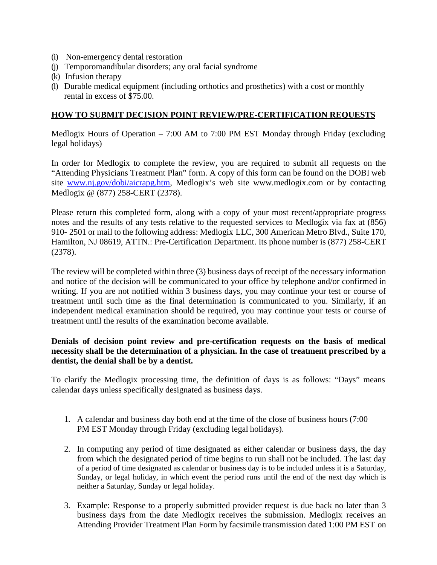- (i) Non-emergency dental restoration
- (j) Temporomandibular disorders; any oral facial syndrome
- (k) Infusion therapy
- (l) Durable medical equipment (including orthotics and prosthetics) with a cost or monthly rental in excess of \$75.00.

### **HOW TO SUBMIT DECISION POINT REVIEW/PRE-CERTIFICATION REQUESTS**

Medlogix Hours of Operation – 7:00 AM to 7:00 PM EST Monday through Friday (excluding legal holidays)

In order for Medlogix to complete the review, you are required to submit all requests on the "Attending Physicians Treatment Plan" form. A copy of this form can be found on the DOBI web site [www.nj.gov/dobi/aicrapg.htm,](http://www.nj.gov/dobi/aicrapg.htm) Medlogix's web site www.medlogix.com or by contacting Medlogix @ (877) 258-CERT (2378).

Please return this completed form, along with a copy of your most recent/appropriate progress notes and the results of any tests relative to the requested services to Medlogix via fax at (856) 910- 2501 or mail to the following address: Medlogix LLC, 300 American Metro Blvd., Suite 170, Hamilton, NJ 08619, ATTN.: Pre-Certification Department. Its phone number is (877) 258-CERT (2378).

The review will be completed within three (3) business days of receipt of the necessary information and notice of the decision will be communicated to your office by telephone and/or confirmed in writing. If you are not notified within 3 business days, you may continue your test or course of treatment until such time as the final determination is communicated to you. Similarly, if an independent medical examination should be required, you may continue your tests or course of treatment until the results of the examination become available.

### **Denials of decision point review and pre-certification requests on the basis of medical necessity shall be the determination of a physician. In the case of treatment prescribed by a dentist, the denial shall be by a dentist.**

To clarify the Medlogix processing time, the definition of days is as follows: "Days" means calendar days unless specifically designated as business days.

- 1. A calendar and business day both end at the time of the close of business hours (7:00 PM EST Monday through Friday (excluding legal holidays).
- 2. In computing any period of time designated as either calendar or business days, the day from which the designated period of time begins to run shall not be included. The last day of a period of time designated as calendar or business day is to be included unless it is a Saturday, Sunday, or legal holiday, in which event the period runs until the end of the next day which is neither a Saturday, Sunday or legal holiday.
- 3. Example: Response to a properly submitted provider request is due back no later than 3 business days from the date Medlogix receives the submission. Medlogix receives an Attending Provider Treatment Plan Form by facsimile transmission dated 1:00 PM EST on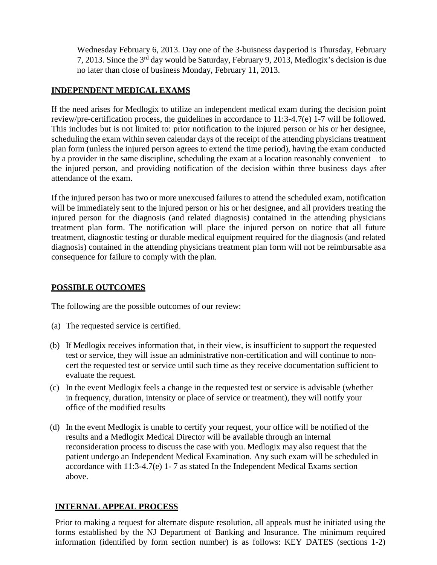Wednesday February 6, 2013. Day one of the 3-buisness dayperiod is Thursday, February 7, 2013. Since the 3rd day would be Saturday, February 9, 2013, Medlogix's decision is due no later than close of business Monday, February 11, 2013.

## **INDEPENDENT MEDICAL EXAMS**

If the need arises for Medlogix to utilize an independent medical exam during the decision point review/pre-certification process, the guidelines in accordance to 11:3-4.7(e) 1-7 will be followed. This includes but is not limited to: prior notification to the injured person or his or her designee, scheduling the exam within seven calendar days of the receipt of the attending physicians treatment plan form (unless the injured person agrees to extend the time period), having the exam conducted by a provider in the same discipline, scheduling the exam at a location reasonably convenient to the injured person, and providing notification of the decision within three business days after attendance of the exam.

If the injured person has two or more unexcused failures to attend the scheduled exam, notification will be immediately sent to the injured person or his or her designee, and all providers treating the injured person for the diagnosis (and related diagnosis) contained in the attending physicians treatment plan form. The notification will place the injured person on notice that all future treatment, diagnostic testing or durable medical equipment required for the diagnosis (and related diagnosis) contained in the attending physicians treatment plan form will not be reimbursable asa consequence for failure to comply with the plan.

### **POSSIBLE OUTCOMES**

The following are the possible outcomes of our review:

- (a) The requested service is certified.
- (b) If Medlogix receives information that, in their view, is insufficient to support the requested test or service, they will issue an administrative non-certification and will continue to noncert the requested test or service until such time as they receive documentation sufficient to evaluate the request.
- (c) In the event Medlogix feels a change in the requested test or service is advisable (whether in frequency, duration, intensity or place of service or treatment), they will notify your office of the modified results
- (d) In the event Medlogix is unable to certify your request, your office will be notified of the results and a Medlogix Medical Director will be available through an internal reconsideration process to discuss the case with you. Medlogix may also request that the patient undergo an Independent Medical Examination. Any such exam will be scheduled in accordance with 11:3-4.7(e) 1- 7 as stated In the Independent Medical Exams section above.

# **INTERNAL APPEAL PROCESS**

Prior to making a request for alternate dispute resolution, all appeals must be initiated using the forms established by the NJ Department of Banking and Insurance. The minimum required information (identified by form section number) is as follows: KEY DATES (sections 1-2)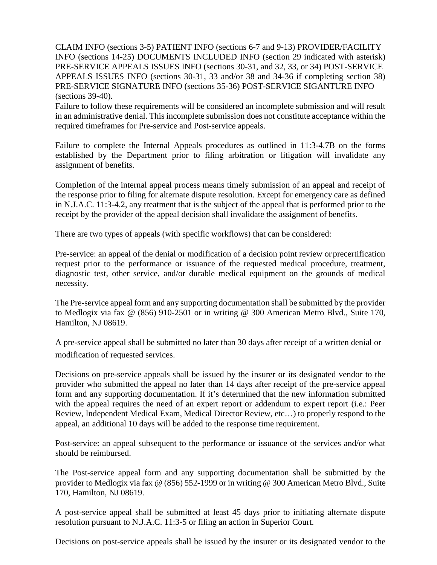CLAIM INFO (sections 3-5) PATIENT INFO (sections 6-7 and 9-13) PROVIDER/FACILITY INFO (sections 14-25) DOCUMENTS INCLUDED INFO (section 29 indicated with asterisk) PRE-SERVICE APPEALS ISSUES INFO (sections 30-31, and 32, 33, or 34) POST-SERVICE APPEALS ISSUES INFO (sections 30-31, 33 and/or 38 and 34-36 if completing section 38) PRE-SERVICE SIGNATURE INFO (sections 35-36) POST-SERVICE SIGANTURE INFO (sections 39-40).

Failure to follow these requirements will be considered an incomplete submission and will result in an administrative denial. This incomplete submission does not constitute acceptance within the required timeframes for Pre-service and Post-service appeals.

Failure to complete the Internal Appeals procedures as outlined in 11:3-4.7B on the forms established by the Department prior to filing arbitration or litigation will invalidate any assignment of benefits.

Completion of the internal appeal process means timely submission of an appeal and receipt of the response prior to filing for alternate dispute resolution. Except for emergency care as defined in N.J.A.C. 11:3-4.2, any treatment that is the subject of the appeal that is performed prior to the receipt by the provider of the appeal decision shall invalidate the assignment of benefits.

There are two types of appeals (with specific workflows) that can be considered:

Pre-service: an appeal of the denial or modification of a decision point review or precertification request prior to the performance or issuance of the requested medical procedure, treatment, diagnostic test, other service, and/or durable medical equipment on the grounds of medical necessity.

The Pre-service appeal form and any supporting documentation shall be submitted by the provider to Medlogix via fax @ (856) 910-2501 or in writing @ 300 American Metro Blvd., Suite 170, Hamilton, NJ 08619.

A pre-service appeal shall be submitted no later than 30 days after receipt of a written denial or modification of requested services.

Decisions on pre-service appeals shall be issued by the insurer or its designated vendor to the provider who submitted the appeal no later than 14 days after receipt of the pre-service appeal form and any supporting documentation. If it's determined that the new information submitted with the appeal requires the need of an expert report or addendum to expert report (i.e.: Peer Review, Independent Medical Exam, Medical Director Review, etc…) to properly respond to the appeal, an additional 10 days will be added to the response time requirement.

Post-service: an appeal subsequent to the performance or issuance of the services and/or what should be reimbursed.

The Post-service appeal form and any supporting documentation shall be submitted by the provider to Medlogix via fax @ (856) 552-1999 or in writing @ 300 American Metro Blvd., Suite 170, Hamilton, NJ 08619.

A post-service appeal shall be submitted at least 45 days prior to initiating alternate dispute resolution pursuant to N.J.A.C. 11:3-5 or filing an action in Superior Court.

Decisions on post-service appeals shall be issued by the insurer or its designated vendor to the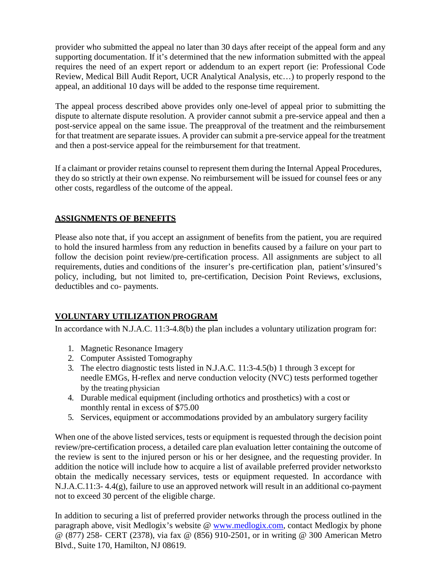provider who submitted the appeal no later than 30 days after receipt of the appeal form and any supporting documentation. If it's determined that the new information submitted with the appeal requires the need of an expert report or addendum to an expert report (ie: Professional Code Review, Medical Bill Audit Report, UCR Analytical Analysis, etc…) to properly respond to the appeal, an additional 10 days will be added to the response time requirement.

The appeal process described above provides only one-level of appeal prior to submitting the dispute to alternate dispute resolution. A provider cannot submit a pre-service appeal and then a post-service appeal on the same issue. The preapproval of the treatment and the reimbursement for that treatment are separate issues. A provider can submit a pre-service appeal for the treatment and then a post-service appeal for the reimbursement for that treatment.

If a claimant or provider retains counsel to represent them during the Internal Appeal Procedures, they do so strictly at their own expense. No reimbursement will be issued for counsel fees or any other costs, regardless of the outcome of the appeal.

## **ASSIGNMENTS OF BENEFITS**

Please also note that, if you accept an assignment of benefits from the patient, you are required to hold the insured harmless from any reduction in benefits caused by a failure on your part to follow the decision point review/pre-certification process. All assignments are subject to all requirements, duties and conditions of the insurer's pre-certification plan, patient's/insured's policy, including, but not limited to, pre-certification, Decision Point Reviews, exclusions, deductibles and co- payments.

# **VOLUNTARY UTILIZATION PROGRAM**

In accordance with N.J.A.C. 11:3-4.8(b) the plan includes a voluntary utilization program for:

- 1. Magnetic Resonance Imagery
- 2. Computer Assisted Tomography
- 3. The electro diagnostic tests listed in N.J.A.C. 11:3-4.5(b) 1 through 3 except for needle EMGs, H-reflex and nerve conduction velocity (NVC) tests performed together by the treating physician
- 4. Durable medical equipment (including orthotics and prosthetics) with a cost or monthly rental in excess of \$75.00
- 5. Services, equipment or accommodations provided by an ambulatory surgery facility

When one of the above listed services, tests or equipment is requested through the decision point review/pre-certification process, a detailed care plan evaluation letter containing the outcome of the review is sent to the injured person or his or her designee, and the requesting provider. In addition the notice will include how to acquire a list of available preferred provider networksto obtain the medically necessary services, tests or equipment requested. In accordance with N.J.A.C.11:3- 4.4(g), failure to use an approved network will result in an additional co-payment not to exceed 30 percent of the eligible charge.

In addition to securing a list of preferred provider networks through the process outlined in the paragraph above, visit Medlogix's website @ [www.medlogix.com,](http://www.medlogix.com/) contact Medlogix by phone @ (877) 258- CERT (2378), via fax @ (856) 910-2501, or in writing @ 300 American Metro Blvd., Suite 170, Hamilton, NJ 08619.